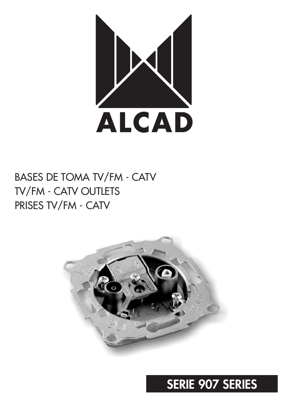

## BASES DE TOMA TV/FM - CATV TV/FM - CATV OUTLETS PRISES TV/FM - CATV



# **SERIE 907 SERIES**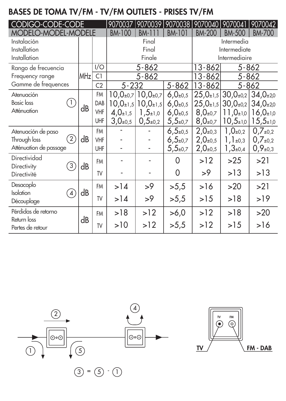### **BASES DE TOMA TV/FM - TV/FM OUTLETS - PRISES TV/FM**

| CODIGO-CODE-CODE                                 | 9070037 | 9070039        |                    | 9070038 9070040                    | 9070041                     | 9070042         |                                                      |                                      |  |
|--------------------------------------------------|---------|----------------|--------------------|------------------------------------|-----------------------------|-----------------|------------------------------------------------------|--------------------------------------|--|
| <b>MODELO-MODEL-MODELE</b>                       |         |                | <b>BM-100</b>      | BM-111                             | <b>BM-101</b>               | <b>BM-200</b>   | <b>BM-500</b>                                        | <b>BM-700</b>                        |  |
| Instalación                                      |         |                |                    | Final                              |                             | Intermedia      |                                                      |                                      |  |
| Installation                                     |         |                | Final              |                                    |                             | Intermediate    |                                                      |                                      |  |
| Installation                                     |         |                |                    | Finale                             |                             |                 | Intermediaire                                        |                                      |  |
| Rango de frecuencia                              |         | I/O            |                    | 5-862                              |                             |                 | 13-862<br>5-862                                      |                                      |  |
| Frequency range                                  | MHz     | C1             | $5 - 862$          |                                    |                             | 13-862          | 5-862                                                |                                      |  |
| Gamme de frequences                              |         | C <sub>2</sub> | $5 - 862$<br>5-232 |                                    | 13-862                      | $5 - 862$       |                                                      |                                      |  |
| Atenuación                                       | dB      | FM             |                    | $10,0_{\pm 0.7}$ 10,0 $_{\pm 0.7}$ | $6,0_{\pm 0.5}$             |                 | $25,0_{\pm 1,5}$ 30,0 $_{\pm 0,2}$ 34,0 $_{\pm 2,0}$ |                                      |  |
| <b>Basic</b> loss<br>$\left(1\right)$            |         | DAB            | $10,0_{\pm 1.5}$   | $10,0_{\pm 1,5}$                   | $6,0_{\pm 0.5}$             |                 | $25,0_{\pm 1,5}$ 30,0 $_{\pm 0,2}$                   | $34,0+20$                            |  |
| Atténuation                                      |         | VHF            | $4,0+1,5$          | $1,5+1,0$                          | $6,0_{\pm 0.5}$             | $8,0_{\pm 0.7}$ |                                                      | $11,0_{\pm 1,0}$   16,0 $_{\pm 1,0}$ |  |
|                                                  |         | UHF            | $3,0_{\pm 0.5}$    | $0,5_{\pm 0,2}$                    | $5,5{\scriptstyle \pm 0.7}$ | $8,0_{\pm 0,7}$ | $10,5{\scriptstyle \pm1,0}$                          | $15,5{\scriptstyle \pm10}$           |  |
| Atenuación de paso                               |         | <b>FM</b>      |                    |                                    | $6,5{\scriptstyle \pm0,5}$  | $2,0_{\pm 0,3}$ | 1,0 $_{\pm 0,2}$                                     | $0.7_{\pm 0.2}$                      |  |
| (2)<br>Through loss                              | dB      | <b>VHF</b>     |                    |                                    | $6,5{\scriptstyle \pm 0.7}$ | $2,0_{\pm 0.5}$ | $1,1_{\pm 0,3}$                                      | $0.7_{\pm 0.2}$                      |  |
| Atténuation de passage                           |         | UHF            |                    |                                    | $5,5{\scriptstyle \pm 0.7}$ | $2,0_{\pm 0,5}$ | 1,3 $\pm 0.4$                                        | $0,9_{\pm 0,3}$                      |  |
| Directividad<br>$\left(3\right)$                 | dB      | <b>FM</b>      |                    |                                    | 0                           | >12             | >25                                                  | >21                                  |  |
| Directivity<br>Directivité                       |         | TV             |                    |                                    | 0                           | >9              | >13                                                  | >13                                  |  |
| Desacoplo                                        |         | <b>FM</b>      | >14                | >9                                 | >5,5                        | >16             | >20                                                  | >21                                  |  |
| <b>Isolation</b><br>$\overline{4}$<br>Découplage | dB      | TV             | >14                | >9                                 | >5,5                        | >15             | >18                                                  | >19                                  |  |
| Pérdidas de retorno                              |         |                |                    |                                    |                             |                 |                                                      |                                      |  |
| Return loss                                      | dB      | <b>FM</b>      | >18                | >12                                | >6,0                        | >12             | >18                                                  | >20                                  |  |
| Pertes de retour                                 |         | TV             | >10                | >12                                | >5,5                        | >12             | >15                                                  | >16                                  |  |



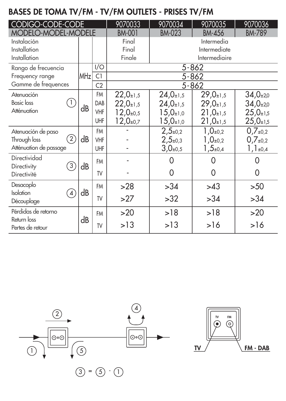### **BASES DE TOMA TV/FM - TV/FM OUTLETS - PRISES TV/FM**

| CODIGO-CODE-CODE                   |                 | 9070033        | 9070034          | 9070035                    | 9070036         |                  |  |  |
|------------------------------------|-----------------|----------------|------------------|----------------------------|-----------------|------------------|--|--|
| <b>MODELO-MODEL-MODELE</b>         |                 |                | <b>BM-001</b>    | <b>BM-023</b>              | <b>BM-789</b>   |                  |  |  |
| Instalación                        |                 |                | Final            | Intermedia<br>Intermediate |                 |                  |  |  |
| Installation                       |                 |                | Final            |                            |                 |                  |  |  |
| Installation                       |                 |                | Finale           |                            | Intermediaire   |                  |  |  |
| Rango de frecuencia                | MH <sub>z</sub> | I/O            | $5 - 862$        |                            |                 |                  |  |  |
| Frequency range                    |                 | C1             | 5-862            |                            |                 |                  |  |  |
| Gamme de frequences                |                 | C <sub>2</sub> | $5 - 862$        |                            |                 |                  |  |  |
| Atenuación                         |                 | <b>FM</b>      | $22,0+1,5$       | $24,0_{\pm 1,5}$           | $29,0+1,5$      | $34,0+20$        |  |  |
| <b>Basic</b> loss                  | dB              | DAB            | $22,0+1,5$       | $24,0+1,5$                 | $29,0+1,5$      | $34,0_{\pm 2,0}$ |  |  |
| Atténuation                        |                 | VHF            | $12,0_{\pm 0.5}$ | $15,0_{\pm 1,0}$           | $21,0+1,5$      | $25,0+1,5$       |  |  |
|                                    |                 | UHF            | $12,0_{\pm 0,7}$ | $15,0_{\pm 1,0}$           | $21,0+1,5$      | $25,0+1,5$       |  |  |
| Atenuación de paso                 |                 | <b>FM</b>      |                  | $2,5_{\pm 0,2}$            | $1,0_{\pm 0,2}$ | $0.7_{\pm 0.2}$  |  |  |
| (2)<br>Through loss                | dB              | VHF            |                  | $2,5+0,3$                  | $1,0_{\pm 0,2}$ | $0.7_{\pm 0.2}$  |  |  |
| Atténuation de passage             |                 | UHF            |                  | $3,0_{\pm 0.5}$            | 1,5 $\pm$ 0,4   | $1,1_{\pm 0,4}$  |  |  |
| Directividad                       |                 | <b>FM</b>      |                  | 0                          | Ω               |                  |  |  |
| $\left(3\right)$<br>Directivity    | dB              |                |                  | 0                          | 0               | 0                |  |  |
| Directivité                        |                 | TV             |                  |                            |                 |                  |  |  |
| Desacoplo                          |                 | <b>FM</b>      | >28              | >34                        | >43             | >50              |  |  |
| <b>Isolation</b><br>$\overline{4}$ | dB              | TV             | >27              | >32                        | >34             | >34              |  |  |
| Découplage                         |                 |                |                  |                            |                 |                  |  |  |
| Pérdidas de retorno                |                 | <b>FM</b>      | >20              | >18                        | >18             | >20              |  |  |
| Return loss<br>Pertes de retour    | dB              | TV             | >13              | >13                        | >16             | >16              |  |  |
|                                    |                 |                |                  |                            |                 |                  |  |  |

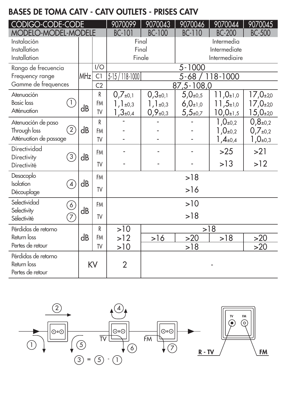### **BASES DE TOMA CATV - CATV OUTLETS - PRISES CATV**

| CODIGO-CODE-CODE                                             |                      |                 |                      | 9070099                             | 9070043                            | 9070046                            | 9070044                                                 | 9070045                                               |  |
|--------------------------------------------------------------|----------------------|-----------------|----------------------|-------------------------------------|------------------------------------|------------------------------------|---------------------------------------------------------|-------------------------------------------------------|--|
| MODELO-MODEL-MODELE                                          |                      |                 |                      | <b>BC-101</b>                       | <b>BC-100</b>                      | <b>BC-110</b>                      | <b>BC-200</b>                                           | <b>BC-500</b>                                         |  |
| Instalación<br>Installation<br>Installation                  |                      |                 |                      | Final<br>Final<br>Finale            |                                    |                                    | Intermedia<br>Intermediate<br>Intermediaire             |                                                       |  |
| Rango de frecuencia                                          |                      |                 | 1/O                  |                                     |                                    | $5 - 1000$                         |                                                         |                                                       |  |
| Frequency range                                              |                      | MH <sub>z</sub> | C1                   | 5-15 / 118-1000<br>5-68 / 118-1000  |                                    |                                    |                                                         |                                                       |  |
| Gamme de frequences                                          |                      |                 | C <sub>2</sub>       | 87,5-108,0                          |                                    |                                    |                                                         |                                                       |  |
| Atenuación<br><b>Basic</b> loss                              | $\left(1\right)$     |                 | R<br>FM              | $0,7_{\pm 0,1}$<br>$1, 1_{\pm 0,3}$ | $0,3_{\pm 0,1}$<br>$1,1_{\pm 0,3}$ | $5,0_{\pm 0.5}$<br>$6,0_{\pm 1,0}$ | $11,0_{\pm 1,0}$<br>$11,5{\scriptstyle \pm1,0}$         | $17,0_{\pm 2,0}$<br>$17,0_{\pm 2,0}$                  |  |
| Atténuation                                                  |                      | dB              | TV                   | $1,3_{\pm 0,4}$                     | $0,9_{\pm 0,3}$                    | $5,5{\scriptstyle \pm 0,7}$        | $10,0_{\pm 1,5}$                                        | $15,0_{\pm 2,0}$                                      |  |
| Atenuación de paso<br>Through loss<br>Atténuation de passage | 2)                   | dB              | R<br><b>FM</b><br>TV |                                     |                                    |                                    | $1,0_{\pm 0,2}$<br>1,0 $_{\pm 0,2}$<br>1, $4_{\pm 0,4}$ | $0,8_{\pm 0,2}$<br>$0,7_{\pm 0,2}$<br>$1,0_{\pm 0,3}$ |  |
| Directividad<br>Directivity                                  | (3)                  | dB              | <b>FM</b>            |                                     |                                    |                                    | >25                                                     | >21                                                   |  |
| Directivité                                                  |                      |                 | TV                   |                                     |                                    |                                    | >13                                                     | >12                                                   |  |
| Desacoplo<br>Isolation                                       | $4^{\circ}$          | dB              | <b>FM</b>            | >18                                 |                                    |                                    |                                                         |                                                       |  |
| Découplage                                                   |                      |                 | TV                   |                                     |                                    | >16                                |                                                         |                                                       |  |
| Selectividad                                                 | $\widetilde{\Theta}$ | dB              | <b>FM</b>            | >10                                 |                                    |                                    |                                                         |                                                       |  |
| Selectivity<br>Sélectivité                                   | T.                   |                 | TV                   | >18                                 |                                    |                                    |                                                         |                                                       |  |
| Pérdidas de retorno                                          |                      |                 | R                    | >10                                 |                                    | >18                                |                                                         |                                                       |  |
| Return loss                                                  |                      | dB              | FM                   | >12                                 | >16                                | >20                                | >18                                                     | >20                                                   |  |
| Pertes de retour                                             |                      |                 | TV                   | >10                                 |                                    | >18                                |                                                         | >20                                                   |  |
| Pérdidas de retorno<br>Return loss<br>Pertes de retour       |                      |                 | KV                   | 2                                   |                                    |                                    |                                                         |                                                       |  |

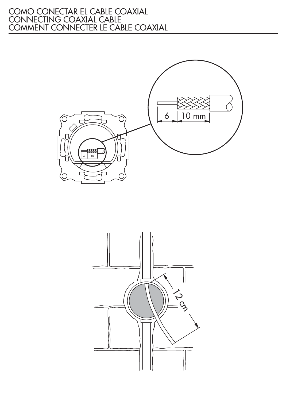#### COMO CONECTAR EL CABLE COAXIAL CONNECTING COAXIAL CABLE COMMENT CONNECTER LE CABLE COAXIAL



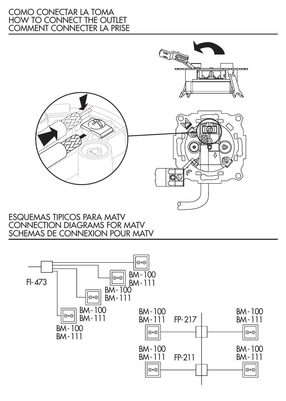#### COMO CONECTAR LA TOMA HOW TO CONNECT THE OUTLET COMMENT CONNECTER LA PRISE



#### ESQUEMAS TIPICOS PARA MATV CONNECTION DIAGRAMS FOR MATV SCHEMAS DE CONNEXION POUR MATV

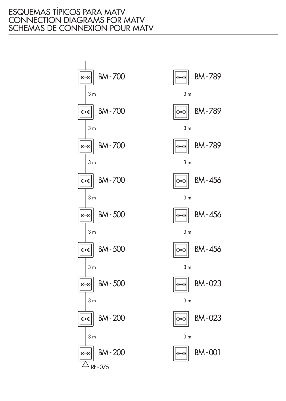#### ESQUEMAS TÍPICOS PARA MATV CONNECTION DIAGRAMS FOR MATV SCHEMAS DE CONNEXION POUR MATV



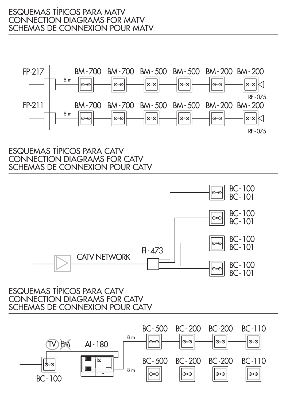

ESQUEMAS TÍPICOS PARA CATV CONNECTION DIAGRAMS FOR CATV SCHEMAS DE CONNEXION POUR CATV



#### ESQUEMAS TÍPICOS PARA CATV CONNECTION DIAGRAMS FOR CATV SCHEMAS DE CONNEXION POUR CATV

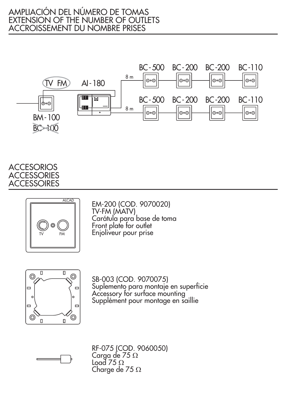#### AMPLIACIÓN DEL NÚMERO DE TOMAS EXTENSION OF THE NUMBER OF OUTLETS ACCROISSEMENT DU NOMBRE PRISES



**ACCESORIOS** ACCESSORIES **ACCESSOIRES** 



EM-200 (COD. 9070020) TV-FM (MATV) Carátula para base de toma Front plate for outlet Enjoliveur pour prise



SB-003 (COD. 9070075) Suplemento para montaje en superficie Accessory for surface mounting Supplément pour montage en saillie



RF-075 (COD. 9060050) Carga de 75 Load 75 Charge de 75  $\Omega$